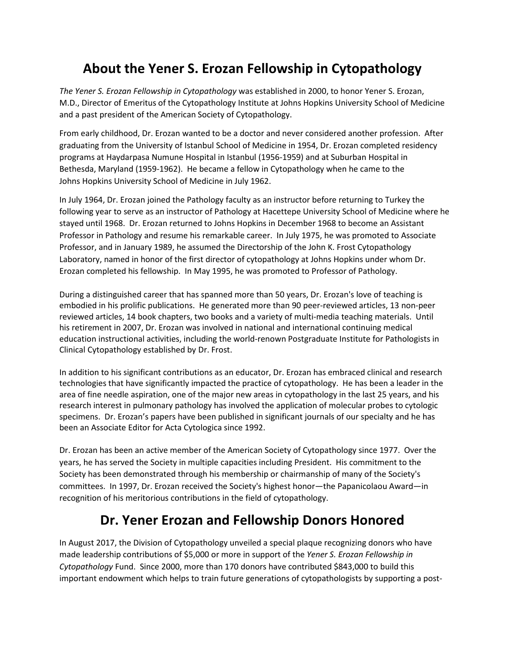## **About the Yener S. Erozan Fellowship in Cytopathology**

*The Yener S. Erozan Fellowship in Cytopathology* was established in 2000, to honor Yener S. Erozan, M.D., Director of Emeritus of the Cytopathology Institute at Johns Hopkins University School of Medicine and a past president of the American Society of Cytopathology.

From early childhood, Dr. Erozan wanted to be a doctor and never considered another profession. After graduating from the University of Istanbul School of Medicine in 1954, Dr. Erozan completed residency programs at Haydarpasa Numune Hospital in Istanbul (1956-1959) and at Suburban Hospital in Bethesda, Maryland (1959-1962). He became a fellow in Cytopathology when he came to the Johns Hopkins University School of Medicine in July 1962.

In July 1964, Dr. Erozan joined the Pathology faculty as an instructor before returning to Turkey the following year to serve as an instructor of Pathology at Hacettepe University School of Medicine where he stayed until 1968. Dr. Erozan returned to Johns Hopkins in December 1968 to become an Assistant Professor in Pathology and resume his remarkable career. In July 1975, he was promoted to Associate Professor, and in January 1989, he assumed the Directorship of the John K. Frost Cytopathology Laboratory, named in honor of the first director of cytopathology at Johns Hopkins under whom Dr. Erozan completed his fellowship. In May 1995, he was promoted to Professor of Pathology.

During a distinguished career that has spanned more than 50 years, Dr. Erozan's love of teaching is embodied in his prolific publications. He generated more than 90 peer-reviewed articles, 13 non-peer reviewed articles, 14 book chapters, two books and a variety of multi-media teaching materials. Until his retirement in 2007, Dr. Erozan was involved in national and international continuing medical education instructional activities, including the world-renown Postgraduate Institute for Pathologists in Clinical Cytopathology established by Dr. Frost.

In addition to his significant contributions as an educator, Dr. Erozan has embraced clinical and research technologies that have significantly impacted the practice of cytopathology. He has been a leader in the area of fine needle aspiration, one of the major new areas in cytopathology in the last 25 years, and his research interest in pulmonary pathology has involved the application of molecular probes to cytologic specimens. Dr. Erozan's papers have been published in significant journals of our specialty and he has been an Associate Editor for Acta Cytologica since 1992.

Dr. Erozan has been an active member of the American Society of Cytopathology since 1977. Over the years, he has served the Society in multiple capacities including President. His commitment to the Society has been demonstrated through his membership or chairmanship of many of the Society's committees. In 1997, Dr. Erozan received the Society's highest honor—the Papanicolaou Award—in recognition of his meritorious contributions in the field of cytopathology.

## **Dr. Yener Erozan and Fellowship Donors Honored**

In August 2017, the Division of Cytopathology unveiled a special plaque recognizing donors who have made leadership contributions of \$5,000 or more in support of the *Yener S. Erozan Fellowship in Cytopathology* Fund. Since 2000, more than 170 donors have contributed \$843,000 to build this important endowment which helps to train future generations of cytopathologists by supporting a post